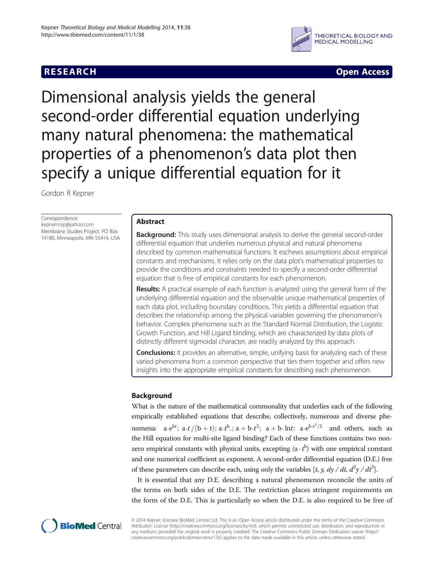# **RESEARCH RESEARCH** *CHECKER CHECKER CHECKER CHECKER CHECKER CHECKER CHECKER CHECKER CHECKER CHECKER CHECKER*



# Dimensional analysis yields the general second-order differential equation underlying many natural phenomena: the mathematical properties of a phenomenon's data plot then specify a unique differential equation for it

Gordon R Kepner

Correspondence: [kepnermsp@yahoo.com](mailto:kepnermsp@yahoo.com) Membrane Studies Project, PO Box 14180, Minneapolis, MN 55414, USA

# Abstract

**Background:** This study uses dimensional analysis to derive the general second-order differential equation that underlies numerous physical and natural phenomena described by common mathematical functions. It eschews assumptions about empirical constants and mechanisms. It relies only on the data plot's mathematical properties to provide the conditions and constraints needed to specify a second-order differential equation that is free of empirical constants for each phenomenon.

**Results:** A practical example of each function is analyzed using the general form of the underlying differential equation and the observable unique mathematical properties of each data plot, including boundary conditions. This yields a differential equation that describes the relationship among the physical variables governing the phenomenon's behavior. Complex phenomena such as the Standard Normal Distribution, the Logistic Growth Function, and Hill Ligand binding, which are characterized by data plots of distinctly different sigmoidal character, are readily analyzed by this approach.

**Conclusions:** It provides an alternative, simple, unifying basis for analyzing each of these varied phenomena from a common perspective that ties them together and offers new insights into the appropriate empirical constants for describing each phenomenon.

# Background

What is the nature of the mathematical commonality that underlies each of the following empirically established equations that describe, collectively, numerous and diverse phenomena:  $a \cdot e^{bt}$ ;  $a \cdot t/(b + t)$ ;  $a \cdot t^b$ ;  $a + b \cdot t^2$ ;  $a + b \cdot Int$ ;  $a \cdot e^{b \cdot t^2/2}$  and others, such as the Hill equation for multi-site ligand binding? Each of these functions contains two nonzero empirical constants with physical units, excepting  $(a \cdot t^b)$  with one empirical constant and one numerical coefficient as exponent. A second-order differential equation (D.E.) free of these parameters can describe each, using only the variables [t, y, dy / dt,  $d^2y$  / dt<sup>2</sup>].

It is essential that any D.E. describing a natural phenomenon reconcile the units of the terms on both sides of the D.E. The restriction places stringent requirements on the form of the D.E. This is particularly so when the D.E. is also required to be free of



© 2014 Kepner; licensee BioMed Central Ltd. This is an Open Access article distributed under the terms of the Creative Commons Attribution License (<http://creativecommons.org/licenses/by/4.0>), which permits unrestricted use, distribution, and reproduction in any medium, provided the original work is properly credited. The Creative Commons Public Domain Dedication waiver [\(http://](http://creativecommons.org/publicdomain/zero/1.0/) [creativecommons.org/publicdomain/zero/1.0/\)](http://creativecommons.org/publicdomain/zero/1.0/) applies to the data made available in this article, unless otherwise stated.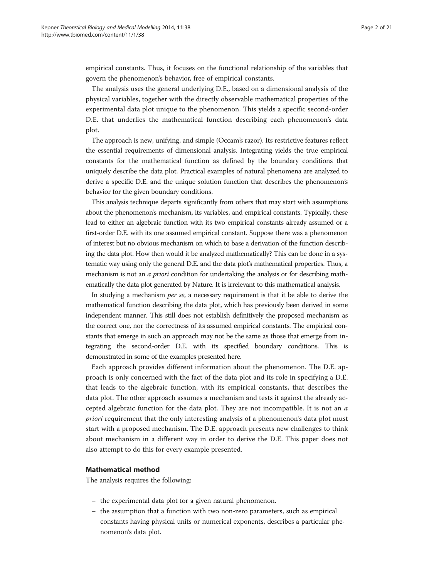empirical constants. Thus, it focuses on the functional relationship of the variables that govern the phenomenon's behavior, free of empirical constants.

The analysis uses the general underlying D.E., based on a dimensional analysis of the physical variables, together with the directly observable mathematical properties of the experimental data plot unique to the phenomenon. This yields a specific second-order D.E. that underlies the mathematical function describing each phenomenon's data plot.

The approach is new, unifying, and simple (Occam's razor). Its restrictive features reflect the essential requirements of dimensional analysis. Integrating yields the true empirical constants for the mathematical function as defined by the boundary conditions that uniquely describe the data plot. Practical examples of natural phenomena are analyzed to derive a specific D.E. and the unique solution function that describes the phenomenon's behavior for the given boundary conditions.

This analysis technique departs significantly from others that may start with assumptions about the phenomenon's mechanism, its variables, and empirical constants. Typically, these lead to either an algebraic function with its two empirical constants already assumed or a first-order D.E. with its one assumed empirical constant. Suppose there was a phenomenon of interest but no obvious mechanism on which to base a derivation of the function describing the data plot. How then would it be analyzed mathematically? This can be done in a systematic way using only the general D.E. and the data plot's mathematical properties. Thus, a mechanism is not an a priori condition for undertaking the analysis or for describing mathematically the data plot generated by Nature. It is irrelevant to this mathematical analysis.

In studying a mechanism *per se*, a necessary requirement is that it be able to derive the mathematical function describing the data plot, which has previously been derived in some independent manner. This still does not establish definitively the proposed mechanism as the correct one, nor the correctness of its assumed empirical constants. The empirical constants that emerge in such an approach may not be the same as those that emerge from integrating the second-order D.E. with its specified boundary conditions. This is demonstrated in some of the examples presented here.

Each approach provides different information about the phenomenon. The D.E. approach is only concerned with the fact of the data plot and its role in specifying a D.E. that leads to the algebraic function, with its empirical constants, that describes the data plot. The other approach assumes a mechanism and tests it against the already accepted algebraic function for the data plot. They are not incompatible. It is not an  $a$ priori requirement that the only interesting analysis of a phenomenon's data plot must start with a proposed mechanism. The D.E. approach presents new challenges to think about mechanism in a different way in order to derive the D.E. This paper does not also attempt to do this for every example presented.

#### Mathematical method

The analysis requires the following:

- the experimental data plot for a given natural phenomenon.
- the assumption that a function with two non-zero parameters, such as empirical constants having physical units or numerical exponents, describes a particular phenomenon's data plot.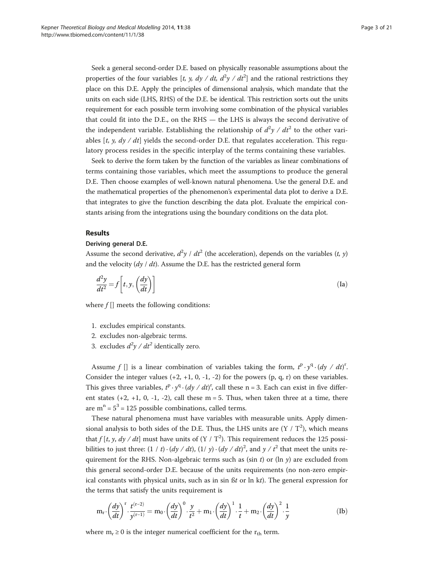Seek a general second-order D.E. based on physically reasonable assumptions about the properties of the four variables [t, y, dy / dt,  $d^2y$  /  $dt^2$ ] and the rational restrictions they place on this D.E. Apply the principles of dimensional analysis, which mandate that the units on each side (LHS, RHS) of the D.E. be identical. This restriction sorts out the units requirement for each possible term involving some combination of the physical variables that could fit into the D.E., on the RHS — the LHS is always the second derivative of the independent variable. Establishing the relationship of  $d^2y$  /  $dt^2$  to the other variables  $[t, y, dy / dt]$  yields the second-order D.E. that regulates acceleration. This regulatory process resides in the specific interplay of the terms containing these variables.

Seek to derive the form taken by the function of the variables as linear combinations of terms containing those variables, which meet the assumptions to produce the general D.E. Then choose examples of well-known natural phenomena. Use the general D.E. and the mathematical properties of the phenomenon's experimental data plot to derive a D.E. that integrates to give the function describing the data plot. Evaluate the empirical constants arising from the integrations using the boundary conditions on the data plot.

## Results

### Deriving general D.E.

Assume the second derivative,  $d^2y / dt^2$  (the acceleration), depends on the variables  $(t, y)$ and the velocity  $\left(\frac{dy}{dt}\right)$ . Assume the D.E. has the restricted general form

$$
\frac{d^2y}{dt^2} = f\left[t, y, \left(\frac{dy}{dt}\right)\right]
$$
 (Ia)

where  $f$  [] meets the following conditions:

- 1. excludes empirical constants.
- 2. excludes non-algebraic terms.
- 3. excludes  $d^2y/dt^2$  identically zero.

Assume f [] is a linear combination of variables taking the form,  $t^p \cdot y^q \cdot (dy \wedge dt)^r$ . Consider the integer values  $(+2, +1, 0, -1, -2)$  for the powers  $(p, q, r)$  on these variables. This gives three variables,  $t^{\text{p}} \cdot y^{\text{q}} \cdot (dy / dt)^r$ , call these n = 3. Each can exist in five different states  $(+2, +1, 0, -1, -2)$ , call these m = 5. Thus, when taken three at a time, there are  $m^n = 5^3 = 125$  possible combinations, called terms.

These natural phenomena must have variables with measurable units. Apply dimensional analysis to both sides of the D.E. Thus, the LHS units are  $(Y / T<sup>2</sup>)$ , which means that  $f$  [t, y, dy / dt] must have units of  $(Y / T^2)$ . This requirement reduces the 125 possibilities to just three:  $(1 / t) \cdot (dy / dt)$ ,  $(1 / y) \cdot (dy / dt)^2$ , and  $y / t^2$  that meet the units requirement for the RHS. Non-algebraic terms such as (sin t) or (ln  $\gamma$ ) are excluded from this general second-order D.E. because of the units requirements (no non-zero empirical constants with physical units, such as in sin  $\beta t$  or  $\ln kt$ ). The general expression for the terms that satisfy the units requirement is

$$
m_{r} \cdot \left(\frac{dy}{dt}\right)^{r} \cdot \frac{t^{(r-2)}}{y^{(r-1)}} = m_{0} \cdot \left(\frac{dy}{dt}\right)^{0} \cdot \frac{y}{t^{2}} + m_{1} \cdot \left(\frac{dy}{dt}\right)^{1} \cdot \frac{1}{t} + m_{2} \cdot \left(\frac{dy}{dt}\right)^{2} \cdot \frac{1}{y}
$$
(1b)

where  $m_r \geq 0$  is the integer numerical coefficient for the  $r_{th}$  term.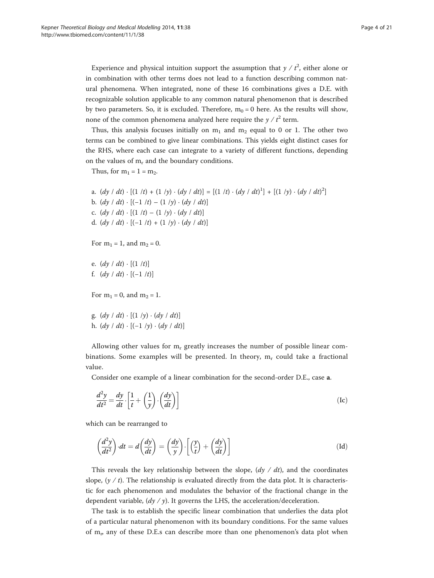Experience and physical intuition support the assumption that  $y \, / \, t^2$ , either alone or in combination with other terms does not lead to a function describing common natural phenomena. When integrated, none of these 16 combinations gives a D.E. with recognizable solution applicable to any common natural phenomenon that is described by two parameters. So, it is excluded. Therefore,  $m_0 = 0$  here. As the results will show, none of the common phenomena analyzed here require the  $y/t^2$  term.

Thus, this analysis focuses initially on  $m_1$  and  $m_2$  equal to 0 or 1. The other two terms can be combined to give linear combinations. This yields eight distinct cases for the RHS, where each case can integrate to a variety of different functions, depending on the values of  $m_r$  and the boundary conditions.

Thus, for  $m_1 = 1 = m_2$ .

a.  $(dy / dt) \cdot [(1 /t) + (1 /y) \cdot (dy / dt)] = [(1 /t) \cdot (dy / dt)^{1}] + [(1 /y) \cdot (dy / dt)^{2}]$ b.  $(dy / dt) \cdot [(-1 / t) - (1 / y) \cdot (dy / dt)]$ c.  $(dy / dt) \cdot [(1 / t) - (1 / y) \cdot (dy / dt)]$ d.  $(dy / dt) \cdot [(-1 / t) + (1 / y) \cdot (dy / dt)]$ 

For  $m_1 = 1$ , and  $m_2 = 0$ .

```
e. (dy / dt) \cdot [(1 / t)]f. (dy / dt) \cdot [(-1 / t)]
```
For  $m_1 = 0$ , and  $m_2 = 1$ .

g.  $(dy / dt) \cdot [(1 / y) \cdot (dy / dt)]$ h.  $(dy / dt) \cdot [(-1 / y) \cdot (dy / dt)]$ 

Allowing other values for  $m_r$  greatly increases the number of possible linear combinations. Some examples will be presented. In theory,  $m_r$  could take a fractional value.

Consider one example of a linear combination for the second-order D.E., case a.

$$
\frac{d^2y}{dt^2} = \frac{dy}{dt} \cdot \left[\frac{1}{t} + \left(\frac{1}{y}\right) \cdot \left(\frac{dy}{dt}\right)\right]
$$
 (1c)

which can be rearranged to

$$
\left(\frac{d^2y}{dt^2}\right) \cdot dt = d\left(\frac{dy}{dt}\right) = \left(\frac{dy}{y}\right) \cdot \left[\left(\frac{y}{t}\right) + \left(\frac{dy}{dt}\right)\right] \tag{1d}
$$

This reveals the key relationship between the slope,  $\frac{dy}{dt}$ , and the coordinates slope,  $(y / t)$ . The relationship is evaluated directly from the data plot. It is characteristic for each phenomenon and modulates the behavior of the fractional change in the dependent variable,  $(dy / y)$ . It governs the LHS, the acceleration/deceleration.

The task is to establish the specific linear combination that underlies the data plot of a particular natural phenomenon with its boundary conditions. For the same values of  $m_p$  any of these D.E.s can describe more than one phenomenon's data plot when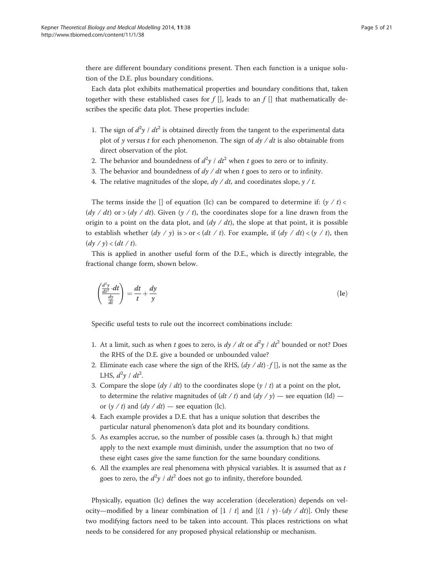there are different boundary conditions present. Then each function is a unique solution of the D.E. plus boundary conditions.

Each data plot exhibits mathematical properties and boundary conditions that, taken together with these established cases for  $f$  [], leads to an  $f$  [] that mathematically describes the specific data plot. These properties include:

- 1. The sign of  $d^2y$  /  $dt^2$  is obtained directly from the tangent to the experimental data plot of y versus t for each phenomenon. The sign of  $dy/dt$  is also obtainable from direct observation of the plot.
- 2. The behavior and boundedness of  $d^2y / dt^2$  when t goes to zero or to infinity.
- 3. The behavior and boundedness of  $dy / dt$  when t goes to zero or to infinity.
- 4. The relative magnitudes of the slope,  $dy/dt$ , and coordinates slope,  $y/t$ .

The terms inside the [] of equation (Ic) can be compared to determine if:  $(y / t)$  $(dy / dt)$  or  $>(dy / dt)$ . Given  $(y / t)$ , the coordinates slope for a line drawn from the origin to a point on the data plot, and  $\left(\frac{dy}{dt}\right)$ , the slope at that point, it is possible to establish whether  $(dy / y)$  is  $>$  or  $<(dt / t)$ . For example, if  $(dy / dt) < (y / t)$ , then  $(dy / y) < (dt / t).$ 

This is applied in another useful form of the D.E., which is directly integrable, the fractional change form, shown below.

$$
\left(\frac{\frac{d^2y}{dt^2} \cdot dt}{\frac{dy}{dt}}\right) = \frac{dt}{t} + \frac{dy}{y}
$$
 (Ie)

Specific useful tests to rule out the incorrect combinations include:

- 1. At a limit, such as when t goes to zero, is  $dy / dt$  or  $d^2y / dt^2$  bounded or not? Does the RHS of the D.E. give a bounded or unbounded value?
- 2. Eliminate each case where the sign of the RHS,  $\left(\frac{dy}{dt}\right)$  · f [], is not the same as the LHS,  $d^2y / dt^2$ .
- 3. Compare the slope  $(dy / dt)$  to the coordinates slope  $(y / t)$  at a point on the plot, to determine the relative magnitudes of  $(dt / t)$  and  $(dy / y)$  — see equation (Id) or  $(y / t)$  and  $(dy / dt)$  — see equation (Ic).
- 4. Each example provides a D.E. that has a unique solution that describes the particular natural phenomenon's data plot and its boundary conditions.
- 5. As examples accrue, so the number of possible cases (a. through h.) that might apply to the next example must diminish, under the assumption that no two of these eight cases give the same function for the same boundary conditions.
- 6. All the examples are real phenomena with physical variables. It is assumed that as  $t$ goes to zero, the  $d^2y / dt^2$  does not go to infinity, therefore bounded.

Physically, equation (Ic) defines the way acceleration (deceleration) depends on velocity—modified by a linear combination of  $[1 / t]$  and  $[(1 / y) \cdot (dy / dt)]$ . Only these two modifying factors need to be taken into account. This places restrictions on what needs to be considered for any proposed physical relationship or mechanism.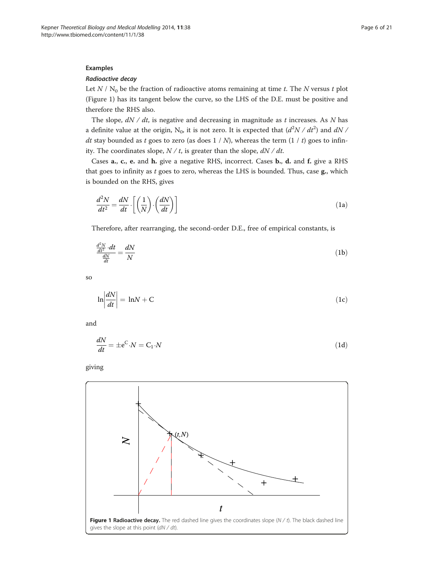#### Examples

### Radioactive decay

Let  $N$  / N<sub>0</sub> be the fraction of radioactive atoms remaining at time t. The N versus t plot (Figure 1) has its tangent below the curve, so the LHS of the D.E. must be positive and therefore the RHS also.

The slope,  $dN / dt$ , is negative and decreasing in magnitude as t increases. As N has a definite value at the origin,  $N_0$ , it is not zero. It is expected that  $(d^2N$  /  $dt^2)$  and  $dN$  / dt stay bounded as t goes to zero (as does  $1/N$ ), whereas the term  $(1 / t)$  goes to infinity. The coordinates slope,  $N/t$ , is greater than the slope,  $dN/dt$ .

Cases a., c., e. and h. give a negative RHS, incorrect. Cases b., d. and f. give a RHS that goes to infinity as  $t$  goes to zero, whereas the LHS is bounded. Thus, case  $g$ ., which is bounded on the RHS, gives

$$
\frac{d^2N}{dt^2} = \frac{dN}{dt} \cdot \left[ \left( \frac{1}{N} \right) \cdot \left( \frac{dN}{dt} \right) \right] \tag{1a}
$$

Therefore, after rearranging, the second-order D.E., free of empirical constants, is

$$
\frac{\frac{d^2N}{dt^2} \cdot dt}{\frac{dN}{dt}} = \frac{dN}{N} \tag{1b}
$$

so

$$
\ln \left| \frac{dN}{dt} \right| = \ln N + C \tag{1c}
$$

and

$$
\frac{dN}{dt} = \pm e^C \cdot N = C_1 \cdot N \tag{1d}
$$

giving

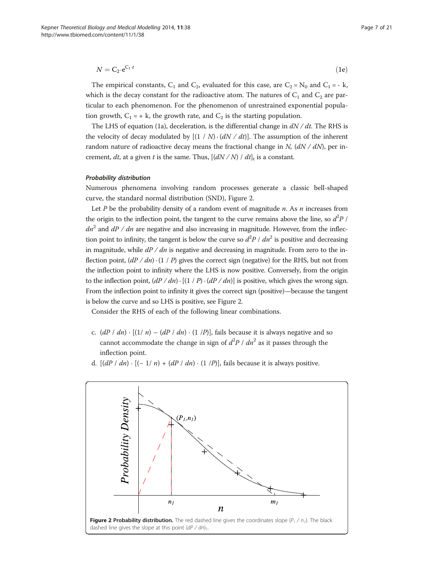<span id="page-6-0"></span>
$$
N = \mathbf{C}_2 \cdot \mathbf{e}^{\mathbf{C}_1 \cdot t} \tag{1e}
$$

The empirical constants,  $C_1$  and  $C_2$ , evaluated for this case, are  $C_2 = N_0$  and  $C_1 = -k$ , which is the decay constant for the radioactive atom. The natures of  $C_1$  and  $C_2$  are particular to each phenomenon. For the phenomenon of unrestrained exponential population growth,  $C_1 = +k$ , the growth rate, and  $C_2$  is the starting population.

The LHS of equation (1a), deceleration, is the differential change in  $dN/dt$ . The RHS is the velocity of decay modulated by  $[(1 / N) \cdot (dN / dt)]$ . The assumption of the inherent random nature of radioactive decay means the fractional change in N,  $(dN / dN)$ , per increment, dt, at a given t is the same. Thus,  $[(dN/N) / dt]_t$  is a constant.

### Probability distribution

Numerous phenomena involving random processes generate a classic bell-shaped curve, the standard normal distribution (SND), Figure 2.

Let P be the probability density of a random event of magnitude  $n$ . As  $n$  increases from the origin to the inflection point, the tangent to the curve remains above the line, so  $d^2P$  /  $dn^2$  and  $dP/dn$  are negative and also increasing in magnitude. However, from the inflection point to infinity, the tangent is below the curve so  $d^2P / dn^2$  is positive and decreasing in magnitude, while  $dP / dn$  is negative and decreasing in magnitude. From zero to the inflection point,  $(dP / dn) \cdot (1 / P)$  gives the correct sign (negative) for the RHS, but not from the inflection point to infinity where the LHS is now positive. Conversely, from the origin to the inflection point,  $\left(dP/dn\right) \cdot \left[\left(1/P\right) \cdot \left(dP/dn\right)\right]$  is positive, which gives the wrong sign. From the inflection point to infinity it gives the correct sign (positive)—because the tangent is below the curve and so LHS is positive, see Figure 2.

Consider the RHS of each of the following linear combinations.

- c.  $(dP / dn) \cdot [(1/n) (dP / dn) \cdot (1/P)]$ , fails because it is always negative and so cannot accommodate the change in sign of  $d^2P / dn^2$  as it passes through the inflection point.
- d.  $[(dP / dn) \cdot [(-1/n) + (dP / dn) \cdot (1/P)],$  fails because it is always positive.

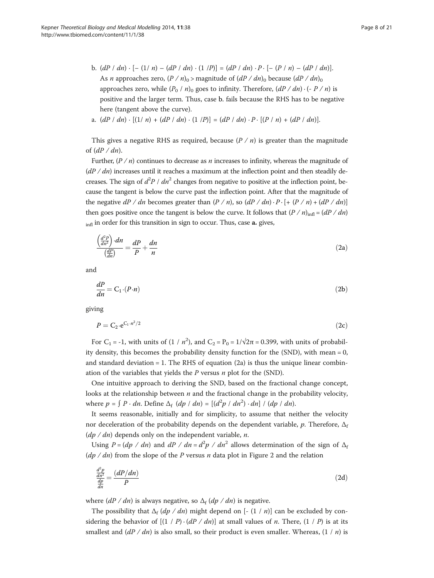- b.  $(dP / dn) \cdot [- (1/n) (dP / dn) \cdot (1/P)] = (dP / dn) \cdot P \cdot [- (P / n) (dP / dn)].$ As *n* approaches zero,  $(P / n)_0$  > magnitude of  $(dP / dn)_0$  because  $(dP / dn)_0$ approaches zero, while  $(P_0 / n)_0$  goes to infinity. Therefore,  $(dP / dn) \cdot (-P / n)$  is positive and the larger term. Thus, case b. fails because the RHS has to be negative here (tangent above the curve).
- a.  $(dP / dn) \cdot [(1/n) + (dP / dn) \cdot (1/P)] = (dP / dn) \cdot P \cdot [(P / n) + (dP / dn)].$

This gives a negative RHS as required, because  $(P/n)$  is greater than the magnitude of  $\left(dP \, / \, dn\right)$ .

Further,  $(P/n)$  continues to decrease as *n* increases to infinity, whereas the magnitude of  $(dP / dn)$  increases until it reaches a maximum at the inflection point and then steadily decreases. The sign of  $d^2P / dn^2$  changes from negative to positive at the inflection point, because the tangent is below the curve past the inflection point. After that the magnitude of the negative  $dP / dn$  becomes greater than  $(P/n)$ , so  $(dP / dn) \cdot P \cdot [+(P/n)+(dP / dn)]$ then goes positive once the tangent is below the curve. It follows that  $(P / n)_{\text{infl}} = (dP / dn)$  $_{\text{infl}}$  in order for this transition in sign to occur. Thus, case **a.** gives,

$$
\frac{\left(\frac{d^2P}{dn^2}\right) \cdot dn}{\left(\frac{dP}{dn}\right)} = \frac{dP}{P} + \frac{dn}{n}
$$
\n(2a)

and

$$
\frac{dP}{dn} = C_1 \cdot (P \cdot n) \tag{2b}
$$

giving

$$
P = C_2 \cdot e^{C_1 \cdot n^2/2} \tag{2c}
$$

For C<sub>1</sub> = -1, with units of  $(1 / n^2)$ , and C<sub>2</sub> = P<sub>0</sub> =  $1/\sqrt{2\pi}$  = 0.399, with units of probability density, this becomes the probability density function for the (SND), with mean = 0, and standard deviation  $= 1$ . The RHS of equation (2a) is thus the unique linear combination of the variables that yields the  $P$  versus  $n$  plot for the (SND).

One intuitive approach to deriving the SND, based on the fractional change concept, looks at the relationship between  $n$  and the fractional change in the probability velocity, where  $p = \int P \cdot dn$ . Define  $\Delta_f$   $(dp / dn) = [(d^2p / dn^2) \cdot dn] / (dp / dn)$ .

It seems reasonable, initially and for simplicity, to assume that neither the velocity nor deceleration of the probability depends on the dependent variable, p. Therefore,  $\Delta_f$  $(dp /dn)$  depends only on the independent variable, n.

Using  $P = (dp / dn)$  and  $dP / dn = d^2p / dn^2$  allows determination of the sign of  $\Delta$  $(dp / dn)$  from the slope of the P versus n data plot in Figure [2](#page-6-0) and the relation

$$
\frac{\frac{d^2p}{dn^2}}{\frac{dp}{dn}} = \frac{(dP/dn)}{P}
$$
\n(2d)

where  $(dP / dn)$  is always negative, so  $\Delta_f$   $(dp / dn)$  is negative.

The possibility that  $\Delta_f$  (dp / dn) might depend on [- (1 / n)] can be excluded by considering the behavior of  $[(1 / P) \cdot (dP / dn)]$  at small values of *n*. There,  $(1 / P)$  is at its smallest and  $\left(\frac{dP}{du}\right)$  is also small, so their product is even smaller. Whereas,  $(1/n)$  is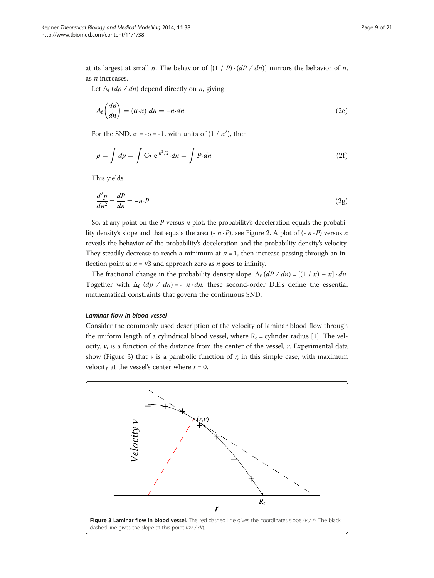at its largest at small *n*. The behavior of  $[(1 / P) \cdot (dP / dn)]$  mirrors the behavior of *n*, as *n* increases.

Let  $\Delta_f$  (*dp / dn*) depend directly on *n*, giving

$$
\Delta_f \left( \frac{dp}{dn} \right) = (\alpha \cdot n) \cdot dn = -n \cdot dn \tag{2e}
$$

For the SND,  $\alpha = -\sigma = -1$ , with units of  $(1 / n^2)$ , then

$$
p = \int dp = \int C_2 \cdot e^{-n^2/2} \cdot dn = \int P \cdot dn \tag{2f}
$$

This yields

$$
\frac{d^2p}{dn^2} = \frac{dP}{dn} = -n \cdot P \tag{2g}
$$

So, at any point on the P versus  $n$  plot, the probability's deceleration equals the probability density's slope and that equals the area  $(-n \cdot P)$ , see Figure [2](#page-6-0). A plot of  $(-n \cdot P)$  versus n reveals the behavior of the probability's deceleration and the probability density's velocity. They steadily decrease to reach a minimum at  $n = 1$ , then increase passing through an inflection point at  $n = \sqrt{3}$  and approach zero as *n* goes to infinity.

The fractional change in the probability density slope,  $\Delta_f$  (dP / dn) = [(1 / n) – n] · dn. Together with  $\Delta_f$  (dp / dn) = - n · dn, these second-order D.E.s define the essential mathematical constraints that govern the continuous SND.

## Laminar flow in blood vessel

Consider the commonly used description of the velocity of laminar blood flow through the uniform length of a cylindrical blood vessel, where  $R_c$  = cylinder radius [\[1\]](#page-19-0). The velocity,  $\nu$ , is a function of the distance from the center of the vessel,  $r$ . Experimental data show (Figure 3) that  $\nu$  is a parabolic function of r, in this simple case, with maximum velocity at the vessel's center where  $r = 0$ .

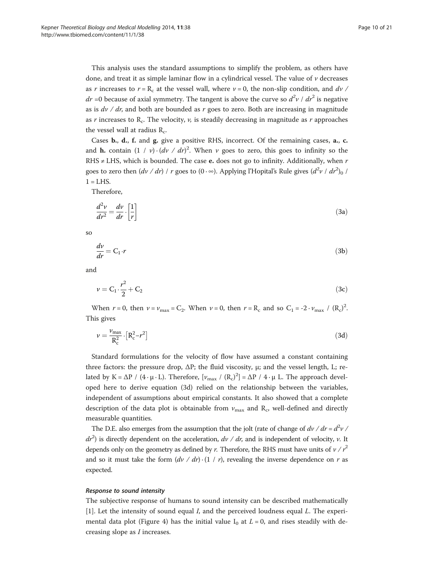This analysis uses the standard assumptions to simplify the problem, as others have done, and treat it as simple laminar flow in a cylindrical vessel. The value of  $\nu$  decreases as r increases to  $r = R_c$  at the vessel wall, where  $v = 0$ , the non-slip condition, and  $dv /$ dr =0 because of axial symmetry. The tangent is above the curve so  $d^2v$  /  $dr^2$  is negative as is  $dv / dr$ , and both are bounded as r goes to zero. Both are increasing in magnitude as r increases to  $R_c$ . The velocity,  $v$ , is steadily decreasing in magnitude as r approaches the vessel wall at radius  $R_c$ .

Cases **b., d., f.** and **g.** give a positive RHS, incorrect. Of the remaining cases, **a., c.** and **h.** contain  $(1 / v) \cdot (dv / dr)^2$ . When v goes to zero, this goes to infinity so the RHS ≠ LHS, which is bounded. The case  $e$ . does not go to infinity. Additionally, when r goes to zero then  $(d\nu / dr)$  / r goes to (0 · ∞). Applying l'Hopital's Rule gives  $(d^2\nu / dr^2)_0$  /  $1 = LHS$ .

Therefore,

$$
\frac{d^2v}{dr^2} = \frac{dv}{dr} \cdot \left[\frac{1}{r}\right] \tag{3a}
$$

so

$$
\frac{dv}{dr} = C_1 \cdot r \tag{3b}
$$

and

$$
\nu = C_1 \cdot \frac{r^2}{2} + C_2 \tag{3c}
$$

When  $r = 0$ , then  $v = v_{\text{max}} = C_2$ . When  $v = 0$ , then  $r = R_c$  and so  $C_1 = -2 \cdot v_{\text{max}} / (R_c)^2$ . This gives

$$
\nu = \frac{\nu_{\text{max}}}{R_c^2} \cdot \left[R_c^2 - r^2\right] \tag{3d}
$$

Standard formulations for the velocity of flow have assumed a constant containing three factors: the pressure drop,  $\Delta P$ ; the fluid viscosity,  $\mu$ ; and the vessel length, L; related by K = ΔP / (4 · μ · L). Therefore,  $[\nu_{max} / (R_c)^2] = \Delta P / 4 \cdot \mu$  L. The approach developed here to derive equation (3d) relied on the relationship between the variables, independent of assumptions about empirical constants. It also showed that a complete description of the data plot is obtainable from  $v_{\text{max}}$  and R<sub>c</sub>, well-defined and directly measurable quantities.

The D.E. also emerges from the assumption that the jolt (rate of change of  $dv / dr = d^2v / dr$  $dr^2$ ) is directly dependent on the acceleration,  $dv / dr$ , and is independent of velocity, v. It depends only on the geometry as defined by r. Therefore, the RHS must have units of  $v/r^2$ and so it must take the form  $\left(\frac{dv}{dr}\right) \cdot (1/r)$ , revealing the inverse dependence on r as expected.

## Response to sound intensity

The subjective response of humans to sound intensity can be described mathematically [[1\]](#page-19-0). Let the intensity of sound equal I, and the perceived loudness equal L. The experi-mental data plot (Figure [4\)](#page-10-0) has the initial value  $I_0$  at  $L = 0$ , and rises steadily with decreasing slope as I increases.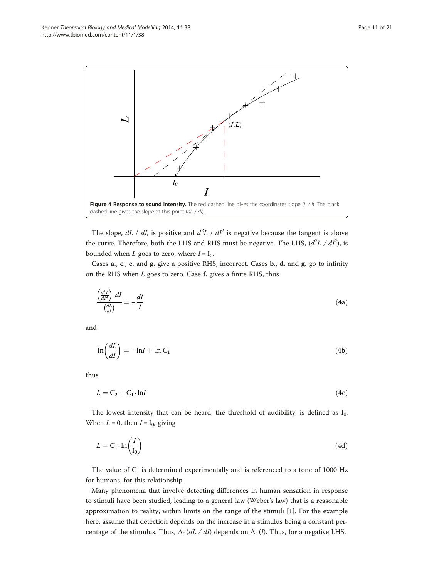<span id="page-10-0"></span>

The slope, dL / dI, is positive and  $d^2L$  /  $dI^2$  is negative because the tangent is above the curve. Therefore, both the LHS and RHS must be negative. The LHS,  $(d^2L/dI^2)$ , is bounded when *L* goes to zero, where  $I = I_0$ .

Cases a., c., e. and g. give a positive RHS, incorrect. Cases b., d. and g. go to infinity on the RHS when L goes to zero. Case f. gives a finite RHS, thus

$$
\frac{\left(\frac{d^2L}{dt^2}\right) \cdot dI}{\left(\frac{dL}{dt}\right)} = -\frac{dI}{I} \tag{4a}
$$

and

$$
\ln\left(\frac{dL}{dt}\right) = -\ln I + \ln C_1 \tag{4b}
$$

thus

$$
L = C_2 + C_1 \cdot \ln I \tag{4c}
$$

The lowest intensity that can be heard, the threshold of audibility, is defined as  $I_0$ . When  $L = 0$ , then  $I = I_0$ , giving

$$
L = C_1 \cdot \ln\left(\frac{I}{I_0}\right) \tag{4d}
$$

The value of  $C_1$  is determined experimentally and is referenced to a tone of 1000 Hz for humans, for this relationship.

Many phenomena that involve detecting differences in human sensation in response to stimuli have been studied, leading to a general law (Weber's law) that is a reasonable approximation to reality, within limits on the range of the stimuli [[1\]](#page-19-0). For the example here, assume that detection depends on the increase in a stimulus being a constant percentage of the stimulus. Thus,  $\Delta_f$  (dL / dI) depends on  $\Delta_f$  (I). Thus, for a negative LHS,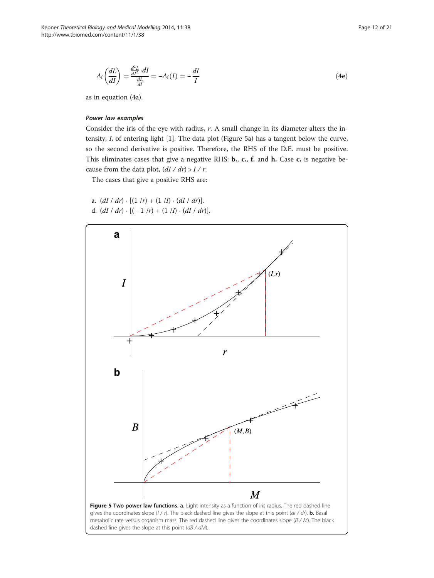<span id="page-11-0"></span>
$$
\Delta_f \left( \frac{dL}{dI} \right) = \frac{\frac{d^2L}{dI^2} \cdot dI}{\frac{dL}{dI}} = -\Delta_f(I) = -\frac{dI}{I}
$$
\n(4e)

as in equation [\(4a\)](#page-10-0).

#### Power law examples

Consider the iris of the eye with radius,  $r$ . A small change in its diameter alters the intensity, I, of entering light [\[1](#page-19-0)]. The data plot (Figure 5a) has a tangent below the curve, so the second derivative is positive. Therefore, the RHS of the D.E. must be positive. This eliminates cases that give a negative RHS: b., c., f. and h. Case c. is negative because from the data plot,  $(dI / dr) > I / r$ .

The cases that give a positive RHS are:

a.  $(dI / dr) \cdot [(1 / r) + (1 / I) \cdot (dI / dr)].$ d.  $\left(\frac{dI}{dr} \cdot \frac{dr}{dr}\right) \cdot \left[(-1/r) + (1/l) \cdot \left(\frac{dI}{dr}\right)\right]$ .

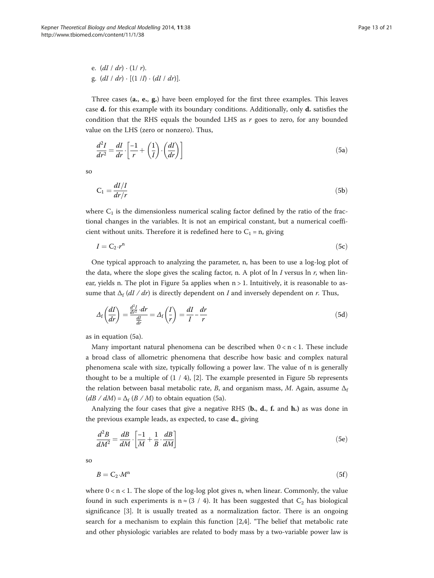<span id="page-12-0"></span>e.  $(dI / dr) \cdot (1 / r)$ . g.  $(dI / dr) \cdot [(1 / I) \cdot (dI / dr)].$ 

Three cases (a., e., g.) have been employed for the first three examples. This leaves case d. for this example with its boundary conditions. Additionally, only d. satisfies the condition that the RHS equals the bounded LHS as  $r$  goes to zero, for any bounded value on the LHS (zero or nonzero). Thus,

$$
\frac{d^2I}{dr^2} = \frac{dI}{dr} \cdot \left[ \frac{-1}{r} + \left( \frac{1}{I} \right) \cdot \left( \frac{dI}{dr} \right) \right] \tag{5a}
$$

so

$$
C_1 = \frac{dI/I}{dr/r} \tag{5b}
$$

where  $C_1$  is the dimensionless numerical scaling factor defined by the ratio of the fractional changes in the variables. It is not an empirical constant, but a numerical coefficient without units. Therefore it is redefined here to  $C_1$  = n, giving

 $I = C_2 \cdot r^n$  $\int_0^{\infty}$  (5c)

One typical approach to analyzing the parameter, n, has been to use a log-log plot of the data, where the slope gives the scaling factor, n. A plot of  $\ln I$  versus  $\ln r$ , when lin-ear, yields n. The plot in Figure [5](#page-11-0)a applies when  $n > 1$ . Intuitively, it is reasonable to assume that  $\Delta_f$  (dI / dr) is directly dependent on I and inversely dependent on r. Thus,

$$
\Delta_f \left( \frac{dI}{dr} \right) = \frac{\frac{d^2I}{dr^2} \cdot dr}{\frac{dI}{dr}} = \Delta_f \left( \frac{I}{r} \right) = \frac{dI}{I} - \frac{dr}{r}
$$
\n(5d)

as in equation (5a).

Many important natural phenomena can be described when  $0 < n < 1$ . These include a broad class of allometric phenomena that describe how basic and complex natural phenomena scale with size, typically following a power law. The value of n is generally thought to be a multiple of  $(1 / 4)$ , [[2\]](#page-19-0). The example presented in Figure [5](#page-11-0)b represents the relation between basal metabolic rate, B, and organism mass, M. Again, assume  $\Delta_f$  $(dB / dM) = \Delta_f (B / M)$  to obtain equation (5a).

Analyzing the four cases that give a negative RHS  $(b, d, f, d)$  as was done in the previous example leads, as expected, to case d., giving

$$
\frac{d^2B}{dM^2} = \frac{dB}{dM} \cdot \left[ \frac{-1}{M} + \frac{1}{B} \cdot \frac{dB}{dM} \right]
$$
(5e)

so

$$
B = C_2 \cdot M^n \tag{5f}
$$

where  $0 < n < 1$ . The slope of the log-log plot gives n, when linear. Commonly, the value found in such experiments is n  $\approx$  (3 / 4). It has been suggested that  $C_2$  has biological significance [[3\]](#page-19-0). It is usually treated as a normalization factor. There is an ongoing search for a mechanism to explain this function [[2,4\]](#page-19-0). "The belief that metabolic rate and other physiologic variables are related to body mass by a two-variable power law is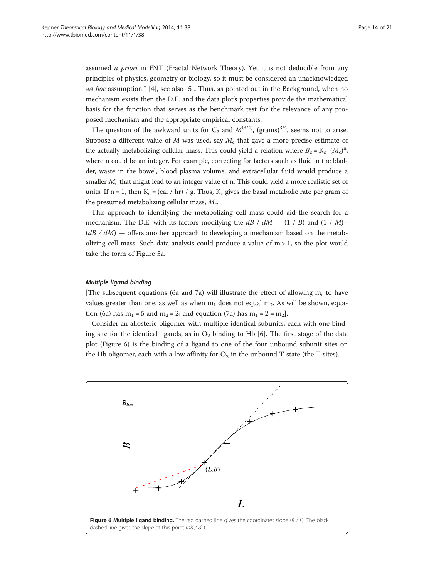assumed *a priori* in FNT (Fractal Network Theory). Yet it is not deducible from any principles of physics, geometry or biology, so it must be considered an unacknowledged ad hoc assumption."  $[4]$  $[4]$ , see also  $[5]$  $[5]$ . Thus, as pointed out in the Background, when no mechanism exists then the D.E. and the data plot's properties provide the mathematical basis for the function that serves as the benchmark test for the relevance of any proposed mechanism and the appropriate empirical constants.

The question of the awkward units for  $C_2$  and  $M^{(3/4)}$ , (grams)<sup>3/4</sup>, seems not to arise. Suppose a different value of M was used, say  $M_c$  that gave a more precise estimate of the actually metabolizing cellular mass. This could yield a relation where  $B_c = K_c \cdot (M_c)^n$ , where n could be an integer. For example, correcting for factors such as fluid in the bladder, waste in the bowel, blood plasma volume, and extracellular fluid would produce a smaller  $M_c$  that might lead to an integer value of n. This could yield a more realistic set of units. If n = 1, then K<sub>c</sub> = (cal / hr) / g. Thus, K<sub>c</sub> gives the basal metabolic rate per gram of the presumed metabolizing cellular mass,  $M_c$ .

This approach to identifying the metabolizing cell mass could aid the search for a mechanism. The D.E. with its factors modifying the  $dB / dM - (1 / B)$  and  $(1 / M)$ .  $(dB / dM)$  — offers another approach to developing a mechanism based on the metabolizing cell mass. Such data analysis could produce a value of  $m > 1$ , so the plot would take the form of Figure [5a](#page-11-0).

#### Multiple ligand binding

[The subsequent equations [\(6a](#page-14-0) and [7a](#page-16-0)) will illustrate the effect of allowing  $m<sub>r</sub>$  to have values greater than one, as well as when  $m_1$  does not equal  $m_2$ . As will be shown, equa-tion [\(6a](#page-14-0)) has  $m_1 = 5$  and  $m_2 = 2$ ; and equation [\(7a\)](#page-16-0) has  $m_1 = 2 = m_2$ ].

Consider an allosteric oligomer with multiple identical subunits, each with one binding site for the identical ligands, as in  $O_2$  binding to Hb [[6\]](#page-20-0). The first stage of the data plot (Figure 6) is the binding of a ligand to one of the four unbound subunit sites on the Hb oligomer, each with a low affinity for  $O_2$  in the unbound T-state (the T-sites).

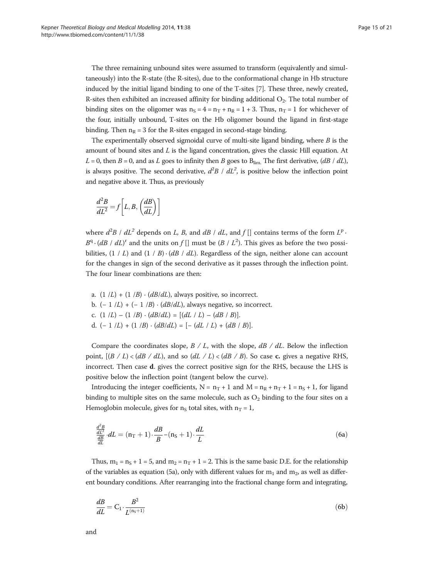<span id="page-14-0"></span>The three remaining unbound sites were assumed to transform (equivalently and simultaneously) into the R-state (the R-sites), due to the conformational change in Hb structure induced by the initial ligand binding to one of the T-sites [[7](#page-20-0)]. These three, newly created, R-sites then exhibited an increased affinity for binding additional  $O_2$ . The total number of binding sites on the oligomer was  $n_S = 4 = n_T + n_R = 1 + 3$ . Thus,  $n_T = 1$  for whichever of the four, initially unbound, T-sites on the Hb oligomer bound the ligand in first-stage binding. Then  $n_R = 3$  for the R-sites engaged in second-stage binding.

The experimentally observed sigmoidal curve of multi-site ligand binding, where  $B$  is the amount of bound sites and  $L$  is the ligand concentration, gives the classic Hill equation. At  $L = 0$ , then  $B = 0$ , and as L goes to infinity then B goes to B<sub>lim.</sub> The first derivative,  $(dB / dL)$ , is always positive. The second derivative,  $d^2B / dL^2$ , is positive below the inflection point and negative above it. Thus, as previously

$$
\frac{d^2B}{dL^2} = f\left[L, B, \left(\frac{dB}{dL}\right)\right]
$$

where  $d^2B / dL^2$  depends on L, B, and  $dB / dL$ , and  $f[]$  contains terms of the form  $L^p$ .  $B^q \cdot (dB / dL)^r$  and the units on f [] must be  $(B / L^2)$ . This gives as before the two possibilities,  $(1 / L)$  and  $(1 / B) \cdot (dB / dL)$ . Regardless of the sign, neither alone can account for the changes in sign of the second derivative as it passes through the inflection point. The four linear combinations are then:

a.  $(1/L) + (1/B) \cdot (dB/dL)$ , always positive, so incorrect. b.  $(-1/L) + (-1/B) \cdot (dB/dL)$ , always negative, so incorrect. c.  $(1 /L) - (1 /B) \cdot (dB/dL) = [(dL / L) - (dB / B)].$ d.  $(-1/L) + (1/B) \cdot (dB/dL) = [-(dL/L) + (dB/B)].$ 

Compare the coordinates slope,  $B / L$ , with the slope,  $dB / dL$ . Below the inflection point,  $[(B / L) < (dB / dL)$ , and so  $(dL / L) < (dB / B)$ . So case c. gives a negative RHS, incorrect. Then case d. gives the correct positive sign for the RHS, because the LHS is positive below the inflection point (tangent below the curve).

Introducing the integer coefficients,  $N = n_T + 1$  and  $M = n_R + n_T + 1 = n_S + 1$ , for ligand binding to multiple sites on the same molecule, such as  $O_2$  binding to the four sites on a Hemoglobin molecule, gives for  $n<sub>S</sub>$  total sites, with  $n<sub>T</sub> = 1$ ,

$$
\frac{\frac{d^2B}{dL^2}}{\frac{dB}{dL}} \cdot dL = (\mathbf{n}_{\mathrm{T}} + 1) \cdot \frac{dB}{B} - (\mathbf{n}_{\mathrm{S}} + 1) \cdot \frac{dL}{L}
$$
\n(6a)

Thus,  $m_1 = n_S + 1 = 5$ , and  $m_2 = n_T + 1 = 2$ . This is the same basic D.E. for the relationship of the variables as equation [\(5a](#page-12-0)), only with different values for  $m_1$  and  $m_2$ , as well as different boundary conditions. After rearranging into the fractional change form and integrating,

$$
\frac{dB}{dL} = C_1 \cdot \frac{B^2}{L^{(n_S+1)}}\tag{6b}
$$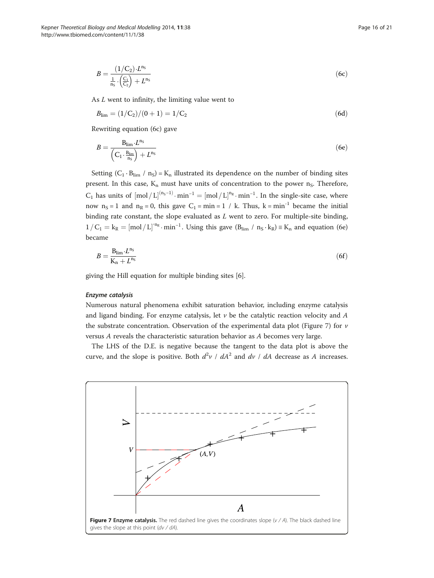$$
B = \frac{(1/C_2) \cdot L^{n_S}}{\frac{1}{n_S} \cdot (\frac{C_1}{C_2}) + L^{n_S}}
$$
(6c)

As L went to infinity, the limiting value went to

$$
B_{\lim} = (1/C_2)/(0+1) = 1/C_2 \tag{6d}
$$

Rewriting equation (6c) gave

$$
B = \frac{B_{\lim} \cdot L^{n_S}}{\left(C_1 \cdot \frac{B_{\lim}}{n_S}\right) + L^{n_S}}
$$
(6e)

Setting  $(C_1 \cdot B_{\text{lim}} / n_S) = K_n$  illustrated its dependence on the number of binding sites present. In this case,  $K_n$  must have units of concentration to the power  $n_S$ . Therefore,  $C_1$  has units of  $\text{[mol / L]}^{(n_S-1)} \cdot \text{min}^{-1} = \text{[mol / L]}^{n_R} \cdot \text{min}^{-1}$ . In the single-site case, where now  $n_S = 1$  and  $n_R = 0$ , this gave  $C_1 = \min_{n=1}^{\infty}$  / k. Thus, k = min<sup>-1</sup> became the initial binding rate constant, the slope evaluated as  $L$  went to zero. For multiple-site binding,  $1/C_1 = k_R = [mol/L]^{n_R} \cdot min^{-1}$ . Using this gave  $(B_{lim} / n_S \cdot k_R) \equiv K_n$  and equation (6e) became

$$
B = \frac{\mathbf{B}_{\lim} \cdot L^{\mathbf{n}_{\mathrm{S}}}}{\mathbf{K}_{\mathbf{n}} + L^{\mathbf{n}_{\mathrm{S}}}}\tag{6f}
$$

giving the Hill equation for multiple binding sites [[6\]](#page-20-0).

## Enzyme catalysis

Numerous natural phenomena exhibit saturation behavior, including enzyme catalysis and ligand binding. For enzyme catalysis, let  $\nu$  be the catalytic reaction velocity and A the substrate concentration. Observation of the experimental data plot (Figure 7) for  $\nu$ versus A reveals the characteristic saturation behavior as A becomes very large.

The LHS of the D.E. is negative because the tangent to the data plot is above the curve, and the slope is positive. Both  $d^2v / dA^2$  and  $dv / dA$  decrease as A increases.

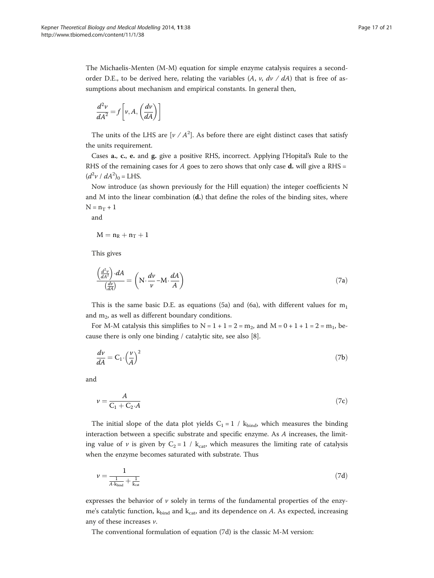<span id="page-16-0"></span>The Michaelis-Menten (M-M) equation for simple enzyme catalysis requires a secondorder D.E., to be derived here, relating the variables  $(A, v, dv / dA)$  that is free of assumptions about mechanism and empirical constants. In general then,

$$
\frac{d^2v}{dA^2} = f\left[v, A, \left(\frac{dv}{dA}\right)\right]
$$

The units of the LHS are  $[\nu/A^2]$ . As before there are eight distinct cases that satisfy the units requirement.

Cases a., c., e. and g. give a positive RHS, incorrect. Applying l'Hopital's Rule to the RHS of the remaining cases for  $A$  goes to zero shows that only case **d.** will give a RHS =  $(d^2v / dA^2)_0 =$  LHS.

Now introduce (as shown previously for the Hill equation) the integer coefficients N and M into the linear combination (d.) that define the roles of the binding sites, where  $N = n_T + 1$ 

and

$$
M=n_R+n_T+1\\
$$

This gives

$$
\frac{\left(\frac{d^2v}{dA^2}\right) \cdot dA}{\left(\frac{dv}{dA}\right)} = \left(N \cdot \frac{dv}{v} - M \cdot \frac{dA}{A}\right)
$$
\n(7a)

This is the same basic D.E. as equations ([5a\)](#page-12-0) and [\(6a\)](#page-14-0), with different values for  $m_1$ and  $m_2$ , as well as different boundary conditions.

For M-M catalysis this simplifies to  $N = 1 + 1 = 2 = m_2$ , and  $M = 0 + 1 + 1 = 2 = m_1$ , because there is only one binding / catalytic site, see also [[8\]](#page-20-0).

$$
\frac{dv}{dA} = C_1 \cdot \left(\frac{v}{A}\right)^2 \tag{7b}
$$

and

$$
\nu = \frac{A}{C_1 + C_2 \cdot A} \tag{7c}
$$

The initial slope of the data plot yields  $C_1 = 1 / k_{bind}$ , which measures the binding interaction between a specific substrate and specific enzyme. As A increases, the limiting value of v is given by  $C_2 = 1 / k_{\text{cat}}$ , which measures the limiting rate of catalysis when the enzyme becomes saturated with substrate. Thus

$$
\nu = \frac{1}{\frac{1}{A \cdot k_{\text{bind}}} + \frac{1}{k_{\text{cat}}}}
$$
\n
$$
\tag{7d}
$$

expresses the behavior of  $\nu$  solely in terms of the fundamental properties of the enzyme's catalytic function,  $k_{bind}$  and  $k_{cat}$ , and its dependence on A. As expected, increasing any of these increases  $\nu$ .

The conventional formulation of equation (7d) is the classic M-M version: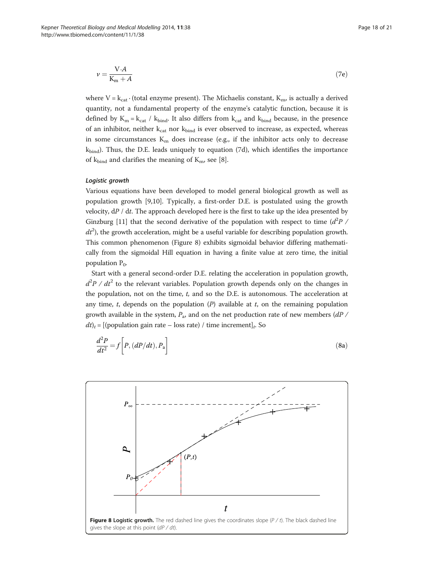$$
v = \frac{V \cdot A}{K_m + A} \tag{7e}
$$

where  $V = k_{cat} \cdot (total$  enzyme present). The Michaelis constant,  $K_{nn}$ , is actually a derived quantity, not a fundamental property of the enzyme's catalytic function, because it is defined by  $K_m = k_{cat} / k_{bind}$ . It also differs from  $k_{cat}$  and  $k_{bind}$  because, in the presence of an inhibitor, neither  $k_{cat}$  nor  $k_{bind}$  is ever observed to increase, as expected, whereas in some circumstances  $K_m$  does increase (e.g., if the inhibitor acts only to decrease  $k_{bind}$ ). Thus, the D.E. leads uniquely to equation ([7d\)](#page-16-0), which identifies the importance of  $k_{bind}$  and clarifies the meaning of  $K_m$ , see [\[8](#page-20-0)].

#### Logistic growth

Various equations have been developed to model general biological growth as well as population growth [\[9,10](#page-20-0)]. Typically, a first-order D.E. is postulated using the growth velocity,  $dP / dt$ . The approach developed here is the first to take up the idea presented by Ginzburg [\[11\]](#page-20-0) that the second derivative of the population with respect to time  $(d^2P \; \wedge \;$  $dt^2$ ), the growth acceleration, might be a useful variable for describing population growth. This common phenomenon (Figure 8) exhibits sigmoidal behavior differing mathematically from the sigmoidal Hill equation in having a finite value at zero time, the initial population  $P_0$ .

Start with a general second-order D.E. relating the acceleration in population growth,  $d^2P / dt^2$  to the relevant variables. Population growth depends only on the changes in the population, not on the time,  $t$ , and so the D.E. is autonomous. The acceleration at any time,  $t$ , depends on the population  $(P)$  available at  $t$ , on the remaining population growth available in the system,  $P_a$ , and on the net production rate of new members  $(dP /$  $dt$ <sub>t</sub> = [(population gain rate – loss rate) / time increment]<sub>t</sub>. So

$$
\frac{d^2P}{dt^2} = f\left[P,(dP/dt),P_a\right]
$$
\n(8a)

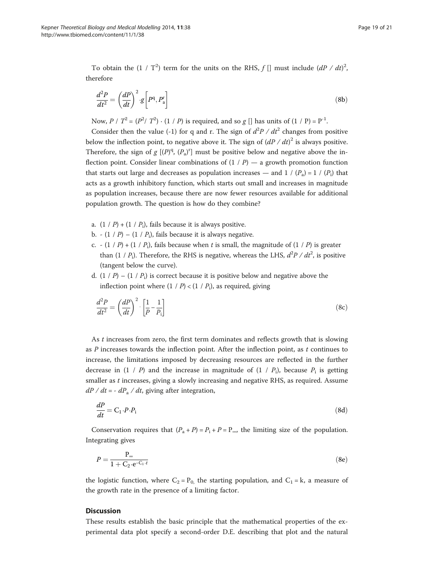To obtain the  $(1 / T^2)$  term for the units on the RHS, f [] must include  $(dP / dt)^2$ , therefore

$$
\frac{d^2P}{dt^2} = \left(\frac{dP}{dt}\right)^2 \cdot g \left[P^{\rm q}, P_{\rm a}^{\rm r}\right]
$$
\n(8b)

Now,  $P / T^2 = (P^2 / T^2) \cdot (1 / P)$  is required, and so g [] has units of  $(1 / P) = P^{-1}$ .

Consider then the value (-1) for q and r. The sign of  $d^2P / dt^2$  changes from positive below the inflection point, to negative above it. The sign of  $(dP/dt)^2$  is always positive. Therefore, the sign of  $g$   $[(P)^{q}, (P_a)^r]$  must be positive below and negative above the inflection point. Consider linear combinations of  $(1 / P)$  — a growth promotion function that starts out large and decreases as population increases — and  $1 / (P_a) = 1 / (P_i)$  that acts as a growth inhibitory function, which starts out small and increases in magnitude as population increases, because there are now fewer resources available for additional population growth. The question is how do they combine?

- a.  $(1 / P) + (1 / P_i)$ , fails because it is always positive.
- b.  $(1 / P) (1 / P_i)$ , fails because it is always negative.
- c.  $(1 / P) + (1 / P_i)$ , fails because when t is small, the magnitude of  $(1 / P)$  is greater than  $(1 / P_i)$ . Therefore, the RHS is negative, whereas the LHS,  $d^2P / dt^2$ , is positive (tangent below the curve).
- d.  $(1 / P) (1 / P_i)$  is correct because it is positive below and negative above the inflection point where  $(1 / P) < (1 / P_i)$ , as required, giving

$$
\frac{d^2P}{dt^2} = \left(\frac{dP}{dt}\right)^2 \cdot \left[\frac{1}{P} - \frac{1}{P_1}\right] \tag{8c}
$$

As t increases from zero, the first term dominates and reflects growth that is slowing as P increases towards the inflection point. After the inflection point, as t continues to increase, the limitations imposed by decreasing resources are reflected in the further decrease in  $(1 / P)$  and the increase in magnitude of  $(1 / P_i)$ , because  $P_i$  is getting smaller as t increases, giving a slowly increasing and negative RHS, as required. Assume  $dP / dt = - dP_a / dt$ , giving after integration,

$$
\frac{dP}{dt} = C_1 \cdot P \cdot P_i \tag{8d}
$$

Conservation requires that  $(P_a + P) = P_i + P = P_{\infty}$ , the limiting size of the population. Integrating gives

$$
P = \frac{P_{\infty}}{1 + C_2 \cdot e^{-C_1 \cdot t}}\tag{8e}
$$

the logistic function, where  $C_2 = P_0$ , the starting population, and  $C_1 = k$ , a measure of the growth rate in the presence of a limiting factor.

## **Discussion**

These results establish the basic principle that the mathematical properties of the experimental data plot specify a second-order D.E. describing that plot and the natural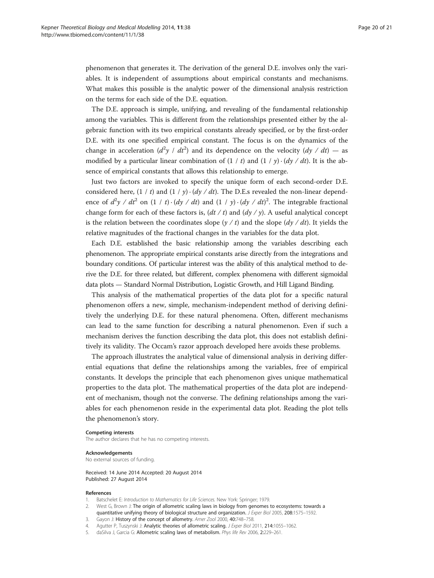<span id="page-19-0"></span>phenomenon that generates it. The derivation of the general D.E. involves only the variables. It is independent of assumptions about empirical constants and mechanisms. What makes this possible is the analytic power of the dimensional analysis restriction on the terms for each side of the D.E. equation.

The D.E. approach is simple, unifying, and revealing of the fundamental relationship among the variables. This is different from the relationships presented either by the algebraic function with its two empirical constants already specified, or by the first-order D.E. with its one specified empirical constant. The focus is on the dynamics of the change in acceleration  $(d^2y / dt^2)$  and its dependence on the velocity  $(dy / dt)$  — as modified by a particular linear combination of  $(1 / t)$  and  $(1 / y) \cdot (dy / dt)$ . It is the absence of empirical constants that allows this relationship to emerge.

Just two factors are invoked to specify the unique form of each second-order D.E. considered here,  $(1 / t)$  and  $(1 / y) \cdot (dy / dt)$ . The D.E.s revealed the non-linear dependence of  $d^2y / dt^2$  on  $(1 / t) \cdot (dy / dt)$  and  $(1 / y) \cdot (dy / dt)^2$ . The integrable fractional change form for each of these factors is,  $(dt / t)$  and  $(dy / y)$ . A useful analytical concept is the relation between the coordinates slope  $(y/t)$  and the slope  $(dy/dt)$ . It yields the relative magnitudes of the fractional changes in the variables for the data plot.

Each D.E. established the basic relationship among the variables describing each phenomenon. The appropriate empirical constants arise directly from the integrations and boundary conditions. Of particular interest was the ability of this analytical method to derive the D.E. for three related, but different, complex phenomena with different sigmoidal data plots — Standard Normal Distribution, Logistic Growth, and Hill Ligand Binding.

This analysis of the mathematical properties of the data plot for a specific natural phenomenon offers a new, simple, mechanism-independent method of deriving definitively the underlying D.E. for these natural phenomena. Often, different mechanisms can lead to the same function for describing a natural phenomenon. Even if such a mechanism derives the function describing the data plot, this does not establish definitively its validity. The Occam's razor approach developed here avoids these problems.

The approach illustrates the analytical value of dimensional analysis in deriving differential equations that define the relationships among the variables, free of empirical constants. It develops the principle that each phenomenon gives unique mathematical properties to the data plot. The mathematical properties of the data plot are independent of mechanism, though not the converse. The defining relationships among the variables for each phenomenon reside in the experimental data plot. Reading the plot tells the phenomenon's story.

#### Competing interests

The author declares that he has no competing interests.

#### Acknowledgements

No external sources of funding.

Received: 14 June 2014 Accepted: 20 August 2014 Published: 27 August 2014

#### References

- Batschelet E: Introduction to Mathematics for Life Sciences. New York: Springer; 1979.
- 2. West G, Brown J: The origin of allometric scaling laws in biology from genomes to ecosystems: towards a quantitative unifying theory of biological structure and organization. J Exper Biol 2005, 208:1575–1592.
- 3. Gayon J: History of the concept of allometry. Amer Zool 2000, 40:748–758.
- Agutter P, Tuszynski J: Analytic theories of allometric scaling. J Exper Biol 2011, 214:1055-1062.
- 5. daSilva J, Garcia G: Allometric scaling laws of metabolism. Phys life Rev 2006, 2:229-261.